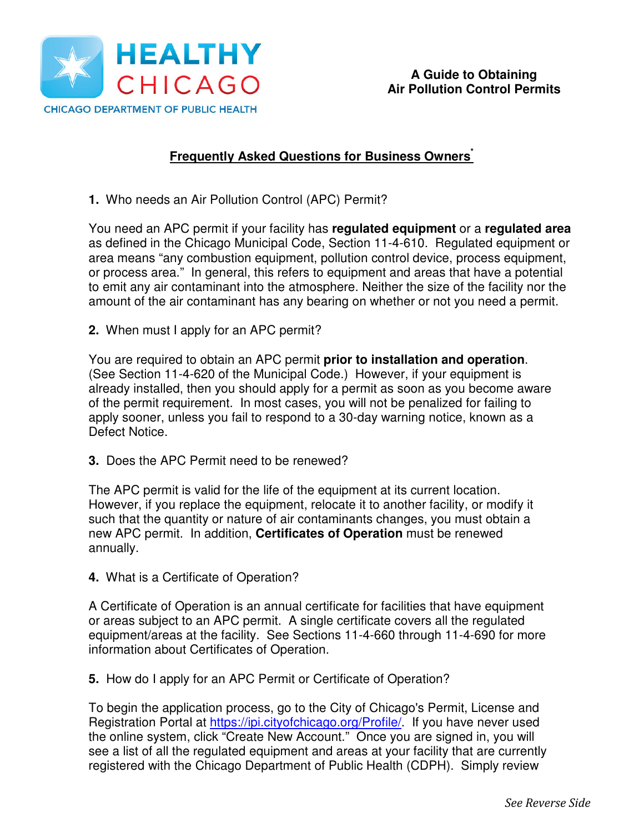

## **Frequently Asked Questions for Business Owners\***

**1.** Who needs an Air Pollution Control (APC) Permit?

You need an APC permit if your facility has **regulated equipment** or a **regulated area** as defined in the Chicago Municipal Code, Section 11-4-610. Regulated equipment or area means "any combustion equipment, pollution control device, process equipment, or process area." In general, this refers to equipment and areas that have a potential to emit any air contaminant into the atmosphere. Neither the size of the facility nor the amount of the air contaminant has any bearing on whether or not you need a permit.

**2.** When must I apply for an APC permit?

You are required to obtain an APC permit **prior to installation and operation**. (See Section 11-4-620 of the Municipal Code.) However, if your equipment is already installed, then you should apply for a permit as soon as you become aware of the permit requirement. In most cases, you will not be penalized for failing to apply sooner, unless you fail to respond to a 30-day warning notice, known as a Defect Notice.

**3.** Does the APC Permit need to be renewed?

The APC permit is valid for the life of the equipment at its current location. However, if you replace the equipment, relocate it to another facility, or modify it such that the quantity or nature of air contaminants changes, you must obtain a new APC permit. In addition, **Certificates of Operation** must be renewed annually.

**4.** What is a Certificate of Operation?

A Certificate of Operation is an annual certificate for facilities that have equipment or areas subject to an APC permit. A single certificate covers all the regulated equipment/areas at the facility. See Sections 11-4-660 through 11-4-690 for more information about Certificates of Operation.

**5.** How do I apply for an APC Permit or Certificate of Operation?

To begin the application process, go to the City of Chicago's Permit, License and Registration Portal at https://ipi.cityofchicago.org/Profile/. If you have never used the online system, click "Create New Account." Once you are signed in, you will see a list of all the regulated equipment and areas at your facility that are currently registered with the Chicago Department of Public Health (CDPH). Simply review